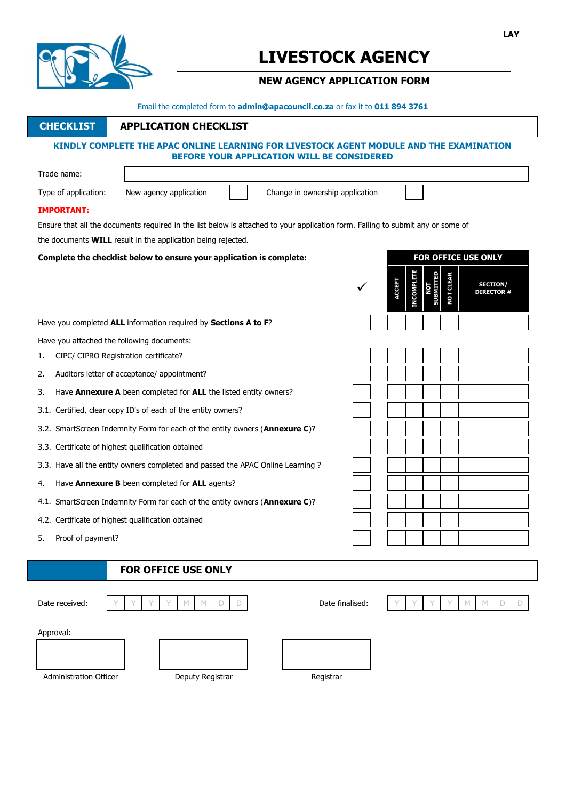

# **LIVESTOCK AGENCY**

# **NEW AGENCY APPLICATION FORM**

Email the completed form to **admin@apacouncil.co.za** or fax it to **011 894 3761**

# **CHECKLIST APPLICATION CHECKLIST**

### **KINDLY COMPLETE THE APAC ONLINE LEARNING FOR LIVESTOCK AGENT MODULE AND THE EXAMINATION BEFORE YOUR APPLICATION WILL BE CONSIDERED**

|    | Trade name:                                                                                                                     |                                                                                 |                            |  |                                 |               |                  |              |                    |                                        |  |
|----|---------------------------------------------------------------------------------------------------------------------------------|---------------------------------------------------------------------------------|----------------------------|--|---------------------------------|---------------|------------------|--------------|--------------------|----------------------------------------|--|
|    | Type of application:                                                                                                            | New agency application                                                          |                            |  | Change in ownership application |               |                  |              |                    |                                        |  |
|    | <b>IMPORTANT:</b>                                                                                                               |                                                                                 |                            |  |                                 |               |                  |              |                    |                                        |  |
|    | Ensure that all the documents required in the list below is attached to your application form. Failing to submit any or some of |                                                                                 |                            |  |                                 |               |                  |              |                    |                                        |  |
|    | the documents <b>WILL</b> result in the application being rejected.                                                             |                                                                                 |                            |  |                                 |               |                  |              |                    |                                        |  |
|    | Complete the checklist below to ensure your application is complete:                                                            |                                                                                 | <b>FOR OFFICE USE ONLY</b> |  |                                 |               |                  |              |                    |                                        |  |
|    |                                                                                                                                 |                                                                                 |                            |  |                                 | <b>ACCEPT</b> | <b>NCOMPLETE</b> | <b>BMITT</b> | <b>CLEAR</b><br>ŞТ | <b>SECTION/</b><br><b>DIRECTOR#</b>    |  |
|    | Have you completed ALL information required by Sections A to F?                                                                 |                                                                                 |                            |  |                                 |               |                  |              |                    |                                        |  |
|    | Have you attached the following documents:                                                                                      |                                                                                 |                            |  |                                 |               |                  |              |                    |                                        |  |
| 1. | CIPC/ CIPRO Registration certificate?                                                                                           |                                                                                 |                            |  |                                 |               |                  |              |                    |                                        |  |
| 2. |                                                                                                                                 | Auditors letter of acceptance/ appointment?                                     |                            |  |                                 |               |                  |              |                    |                                        |  |
| 3. |                                                                                                                                 | Have Annexure A been completed for ALL the listed entity owners?                |                            |  |                                 |               |                  |              |                    |                                        |  |
|    |                                                                                                                                 | 3.1. Certified, clear copy ID's of each of the entity owners?                   |                            |  |                                 |               |                  |              |                    |                                        |  |
|    |                                                                                                                                 | 3.2. SmartScreen Indemnity Form for each of the entity owners (Annexure C)?     |                            |  |                                 |               |                  |              |                    |                                        |  |
|    |                                                                                                                                 | 3.3. Certificate of highest qualification obtained                              |                            |  |                                 |               |                  |              |                    |                                        |  |
|    |                                                                                                                                 | 3.3. Have all the entity owners completed and passed the APAC Online Learning ? |                            |  |                                 |               |                  |              |                    |                                        |  |
| 4. |                                                                                                                                 | Have Annexure B been completed for ALL agents?                                  |                            |  |                                 |               |                  |              |                    |                                        |  |
|    |                                                                                                                                 | 4.1. SmartScreen Indemnity Form for each of the entity owners (Annexure C)?     |                            |  |                                 |               |                  |              |                    |                                        |  |
|    |                                                                                                                                 | 4.2. Certificate of highest qualification obtained                              |                            |  |                                 |               |                  |              |                    |                                        |  |
| 5. | Proof of payment?                                                                                                               |                                                                                 |                            |  |                                 |               |                  |              |                    |                                        |  |
|    |                                                                                                                                 |                                                                                 |                            |  |                                 |               |                  |              |                    |                                        |  |
|    |                                                                                                                                 | FOR OFFICE USE ONLY                                                             |                            |  |                                 |               |                  |              |                    |                                        |  |
|    | Date received:                                                                                                                  | $\mathbb{M}$<br>$\mathbb{M}$<br>D                                               | D                          |  | Date finalised:                 |               |                  |              | Y                  | $\mathbb{M}$<br>$\mathbb{M}$<br>D<br>D |  |
|    | Approval:                                                                                                                       |                                                                                 |                            |  |                                 |               |                  |              |                    |                                        |  |
|    |                                                                                                                                 |                                                                                 |                            |  |                                 |               |                  |              |                    |                                        |  |

Administration Officer **Deputy Registrar Community Registrar** Registrar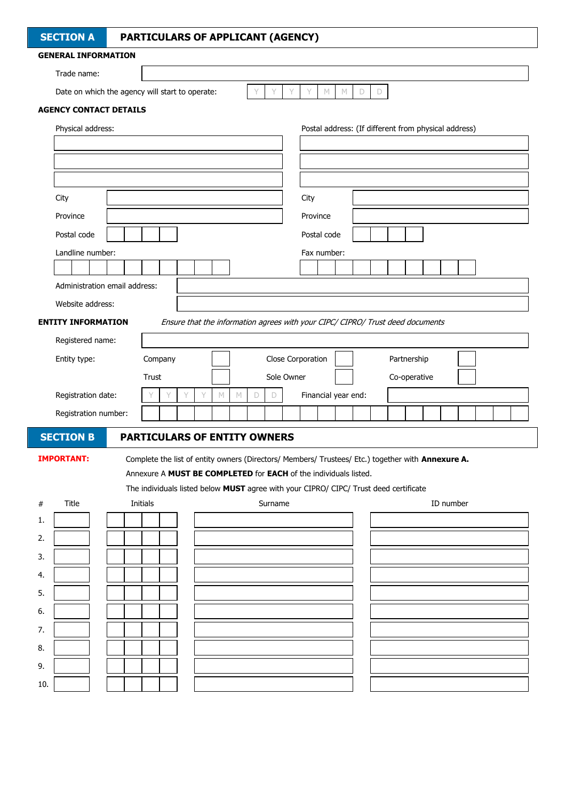|     | <b>SECTION A</b>                                |  |          |   | PARTICULARS OF APPLICANT (AGENCY)                                                                                                                                     |                   |             |   |             |          |                   |             |                     |             |             |              |  |           |                                                      |  |  |
|-----|-------------------------------------------------|--|----------|---|-----------------------------------------------------------------------------------------------------------------------------------------------------------------------|-------------------|-------------|---|-------------|----------|-------------------|-------------|---------------------|-------------|-------------|--------------|--|-----------|------------------------------------------------------|--|--|
|     | <b>GENERAL INFORMATION</b>                      |  |          |   |                                                                                                                                                                       |                   |             |   |             |          |                   |             |                     |             |             |              |  |           |                                                      |  |  |
|     | Trade name:                                     |  |          |   |                                                                                                                                                                       |                   |             |   |             |          |                   |             |                     |             |             |              |  |           |                                                      |  |  |
|     | Date on which the agency will start to operate: |  |          |   |                                                                                                                                                                       |                   |             | Y | Y           | Y        | Y                 | $\mathbb N$ | $\mathbb N$         | $\mathsf D$ | $\mathsf D$ |              |  |           |                                                      |  |  |
|     | <b>AGENCY CONTACT DETAILS</b>                   |  |          |   |                                                                                                                                                                       |                   |             |   |             |          |                   |             |                     |             |             |              |  |           |                                                      |  |  |
|     | Physical address:                               |  |          |   |                                                                                                                                                                       |                   |             |   |             |          |                   |             |                     |             |             |              |  |           | Postal address: (If different from physical address) |  |  |
|     |                                                 |  |          |   |                                                                                                                                                                       |                   |             |   |             |          |                   |             |                     |             |             |              |  |           |                                                      |  |  |
|     |                                                 |  |          |   |                                                                                                                                                                       |                   |             |   |             |          |                   |             |                     |             |             |              |  |           |                                                      |  |  |
|     |                                                 |  |          |   |                                                                                                                                                                       |                   |             |   |             |          |                   |             |                     |             |             |              |  |           |                                                      |  |  |
|     | City                                            |  |          |   |                                                                                                                                                                       |                   |             |   |             |          | City              |             |                     |             |             |              |  |           |                                                      |  |  |
|     | Province                                        |  |          |   |                                                                                                                                                                       |                   |             |   |             | Province |                   |             |                     |             |             |              |  |           |                                                      |  |  |
|     | Postal code                                     |  |          |   |                                                                                                                                                                       |                   |             |   |             |          |                   |             |                     |             |             |              |  |           |                                                      |  |  |
|     |                                                 |  |          |   |                                                                                                                                                                       |                   |             |   |             |          | Postal code       |             |                     |             |             |              |  |           |                                                      |  |  |
|     | Landline number:                                |  |          |   |                                                                                                                                                                       |                   |             |   |             |          | Fax number:       |             |                     |             |             |              |  |           |                                                      |  |  |
|     | Administration email address:                   |  |          |   |                                                                                                                                                                       |                   |             |   |             |          |                   |             |                     |             |             |              |  |           |                                                      |  |  |
|     |                                                 |  |          |   |                                                                                                                                                                       |                   |             |   |             |          |                   |             |                     |             |             |              |  |           |                                                      |  |  |
|     | Website address:                                |  |          |   |                                                                                                                                                                       |                   |             |   |             |          |                   |             |                     |             |             |              |  |           |                                                      |  |  |
|     | <b>ENTITY INFORMATION</b>                       |  |          |   | Ensure that the information agrees with your CIPC/ CIPRO/ Trust deed documents                                                                                        |                   |             |   |             |          |                   |             |                     |             |             |              |  |           |                                                      |  |  |
|     | Registered name:                                |  |          |   |                                                                                                                                                                       |                   |             |   |             |          |                   |             |                     |             |             |              |  |           |                                                      |  |  |
|     | Entity type:                                    |  | Company  |   |                                                                                                                                                                       |                   |             |   |             |          | Close Corporation |             |                     |             |             | Partnership  |  |           |                                                      |  |  |
|     |                                                 |  | Trust    |   |                                                                                                                                                                       |                   |             |   | Sole Owner  |          |                   |             |                     |             |             | Co-operative |  |           |                                                      |  |  |
|     | Registration date:                              |  | Y        | Y | Y                                                                                                                                                                     | Y<br>$\mathbb{M}$ | $\mathbb N$ | D | $\mathsf D$ |          |                   |             | Financial year end: |             |             |              |  |           |                                                      |  |  |
|     | Registration number:                            |  |          |   |                                                                                                                                                                       |                   |             |   |             |          |                   |             |                     |             |             |              |  |           |                                                      |  |  |
|     | <b>SECTION B</b>                                |  |          |   | <b>PARTICULARS OF ENTITY OWNERS</b>                                                                                                                                   |                   |             |   |             |          |                   |             |                     |             |             |              |  |           |                                                      |  |  |
|     |                                                 |  |          |   |                                                                                                                                                                       |                   |             |   |             |          |                   |             |                     |             |             |              |  |           |                                                      |  |  |
|     | <b>IMPORTANT:</b>                               |  |          |   | Complete the list of entity owners (Directors/ Members/ Trustees/ Etc.) together with Annexure A.<br>Annexure A MUST BE COMPLETED for EACH of the individuals listed. |                   |             |   |             |          |                   |             |                     |             |             |              |  |           |                                                      |  |  |
|     |                                                 |  |          |   | The individuals listed below MUST agree with your CIPRO/ CIPC/ Trust deed certificate                                                                                 |                   |             |   |             |          |                   |             |                     |             |             |              |  |           |                                                      |  |  |
| #   | Title                                           |  | Initials |   |                                                                                                                                                                       |                   |             |   | Surname     |          |                   |             |                     |             |             |              |  | ID number |                                                      |  |  |
| 1.  |                                                 |  |          |   |                                                                                                                                                                       |                   |             |   |             |          |                   |             |                     |             |             |              |  |           |                                                      |  |  |
| 2.  |                                                 |  |          |   |                                                                                                                                                                       |                   |             |   |             |          |                   |             |                     |             |             |              |  |           |                                                      |  |  |
| 3.  |                                                 |  |          |   |                                                                                                                                                                       |                   |             |   |             |          |                   |             |                     |             |             |              |  |           |                                                      |  |  |
| 4.  |                                                 |  |          |   |                                                                                                                                                                       |                   |             |   |             |          |                   |             |                     |             |             |              |  |           |                                                      |  |  |
| 5.  |                                                 |  |          |   |                                                                                                                                                                       |                   |             |   |             |          |                   |             |                     |             |             |              |  |           |                                                      |  |  |
| 6.  |                                                 |  |          |   |                                                                                                                                                                       |                   |             |   |             |          |                   |             |                     |             |             |              |  |           |                                                      |  |  |
| 7.  |                                                 |  |          |   |                                                                                                                                                                       |                   |             |   |             |          |                   |             |                     |             |             |              |  |           |                                                      |  |  |
| 8.  |                                                 |  |          |   |                                                                                                                                                                       |                   |             |   |             |          |                   |             |                     |             |             |              |  |           |                                                      |  |  |
|     |                                                 |  |          |   |                                                                                                                                                                       |                   |             |   |             |          |                   |             |                     |             |             |              |  |           |                                                      |  |  |
| 9.  |                                                 |  |          |   |                                                                                                                                                                       |                   |             |   |             |          |                   |             |                     |             |             |              |  |           |                                                      |  |  |
| 10. |                                                 |  |          |   |                                                                                                                                                                       |                   |             |   |             |          |                   |             |                     |             |             |              |  |           |                                                      |  |  |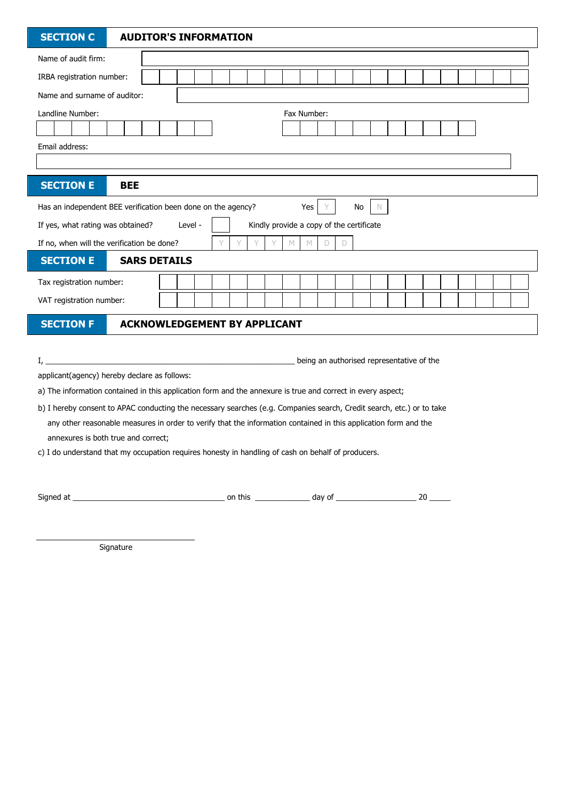Name of audit firm: IRBA registration number: Name and surname of auditor: Landline Number: Fax Number: Email address: Has an independent BEE verification been done on the agency? Yes Y No N If yes, what rating was obtained? Level -  $\parallel$  | Kindly provide a copy of the certificate If no, when will the verification be done?  $Y \ Y \ Y \ Y \ Y \ M \ M \ D$ Tax registration number: VAT registration number: I, \_\_\_\_\_\_\_\_\_\_\_\_\_\_\_\_\_\_\_\_\_\_\_\_\_\_\_\_\_\_\_\_\_\_\_\_\_\_\_\_\_\_\_\_\_\_\_\_\_\_\_\_\_\_\_\_\_\_\_ being an authorised representative of the **SECTION F ACKNOWLEDGEMENT BY APPLICANT SECTION C AUDITOR'S INFORMATION SECTION E BEE SECTION E** SARS DETAILS

applicant(agency) hereby declare as follows:

a) The information contained in this application form and the annexure is true and correct in every aspect;

b) I hereby consent to APAC conducting the necessary searches (e.g. Companies search, Credit search, etc.) or to take any other reasonable measures in order to verify that the information contained in this application form and the annexures is both true and correct;

c) I do understand that my occupation requires honesty in handling of cash on behalf of producers.

Signed at \_\_\_\_\_\_\_\_\_\_\_\_\_\_\_\_\_\_\_\_\_\_\_\_\_\_\_\_\_\_\_\_\_\_\_\_ on this \_\_\_\_\_\_\_\_\_\_\_\_\_ day of \_\_\_\_\_\_\_\_\_\_\_\_\_\_\_\_\_\_\_ 20 \_\_\_\_\_

**Signature**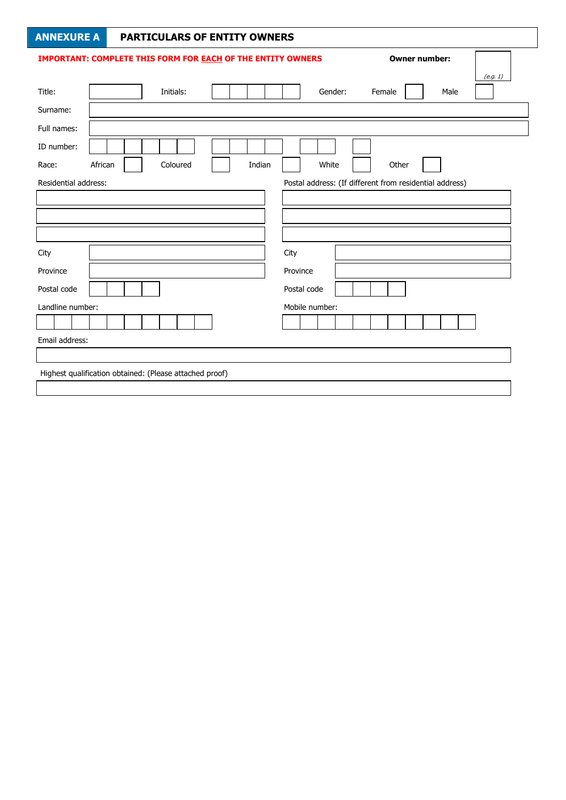|                                                     | <b>ANNEXURE A</b> | <b>PARTICULARS OF ENTITY OWNERS</b>                                |        |                                                         |          |      |  |
|-----------------------------------------------------|-------------------|--------------------------------------------------------------------|--------|---------------------------------------------------------|----------|------|--|
|                                                     |                   | <b>IMPORTANT: COMPLETE THIS FORM FOR EACH OF THE ENTITY OWNERS</b> |        |                                                         | (e.g. 1) |      |  |
| Title:                                              |                   | Initials:                                                          |        | Gender:                                                 | Female   | Male |  |
| Surname:                                            |                   |                                                                    |        |                                                         |          |      |  |
| Full names:                                         |                   |                                                                    |        |                                                         |          |      |  |
| ID number:                                          |                   |                                                                    |        |                                                         |          |      |  |
| Race:                                               | African           | Coloured                                                           | Indian | White                                                   | Other    |      |  |
| Residential address:                                |                   |                                                                    |        | Postal address: (If different from residential address) |          |      |  |
|                                                     |                   |                                                                    |        |                                                         |          |      |  |
|                                                     |                   |                                                                    |        |                                                         |          |      |  |
|                                                     |                   |                                                                    |        |                                                         |          |      |  |
|                                                     |                   |                                                                    |        |                                                         |          |      |  |
|                                                     |                   |                                                                    |        | City                                                    |          |      |  |
|                                                     |                   |                                                                    |        | Province                                                |          |      |  |
|                                                     |                   |                                                                    |        | Postal code                                             |          |      |  |
| City<br>Province<br>Postal code<br>Landline number: |                   |                                                                    |        | Mobile number:                                          |          |      |  |
|                                                     |                   |                                                                    |        |                                                         |          |      |  |
| Email address:                                      |                   |                                                                    |        |                                                         |          |      |  |
|                                                     |                   |                                                                    |        |                                                         |          |      |  |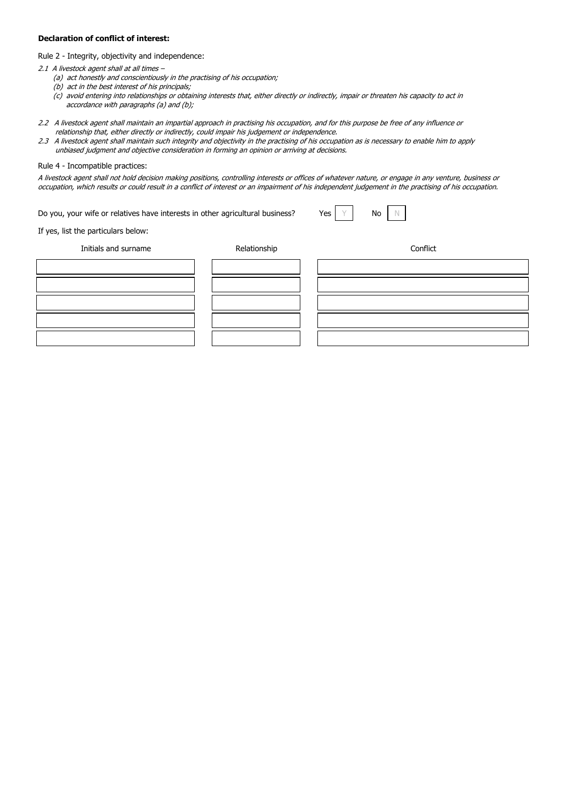#### **Declaration of conflict of interest:**

Rule 2 - Integrity, objectivity and independence:

- 2.1 A livestock agent shall at all times -
	- (a) act honestly and conscientiously in the practising of his occupation;
	- (b) act in the best interest of his principals;
	- (c) avoid entering into relationships or obtaining interests that, either directly or indirectly, impair or threaten his capacity to act in accordance with paragraphs (a) and (b);
- 2.2 A livestock agent shall maintain an impartial approach in practising his occupation, and for this purpose be free of any influence or relationship that, either directly or indirectly, could impair his judgement or independence.
- 2.3 A livestock agent shall maintain such integrity and objectivity in the practising of his occupation as is necessary to enable him to apply unbiased judgment and objective consideration in forming an opinion or arriving at decisions.

#### Rule 4 - Incompatible practices:

A livestock agent shall not hold decision making positions, controlling interests or offices of whatever nature, or engage in any venture, business or occupation, which results or could result in a conflict of interest or an impairment of his independent judgement in the practising of his occupation.

Do you, your wife or relatives have interests in other agricultural business? Yes  $\left| Y \right|$  No  $\left| N \right|$ 

If yes, list the particulars below:

Initials and surname Relationship Conflict

| the contract of the contract of the contract of the contract of the contract of the contract of the contract of | and the contract of the contract of the contract of the contract of the contract of the contract of the contract of the contract of the contract of the contract of the contract of the contract of the contract of the contra |  |
|-----------------------------------------------------------------------------------------------------------------|--------------------------------------------------------------------------------------------------------------------------------------------------------------------------------------------------------------------------------|--|
|                                                                                                                 | -                                                                                                                                                                                                                              |  |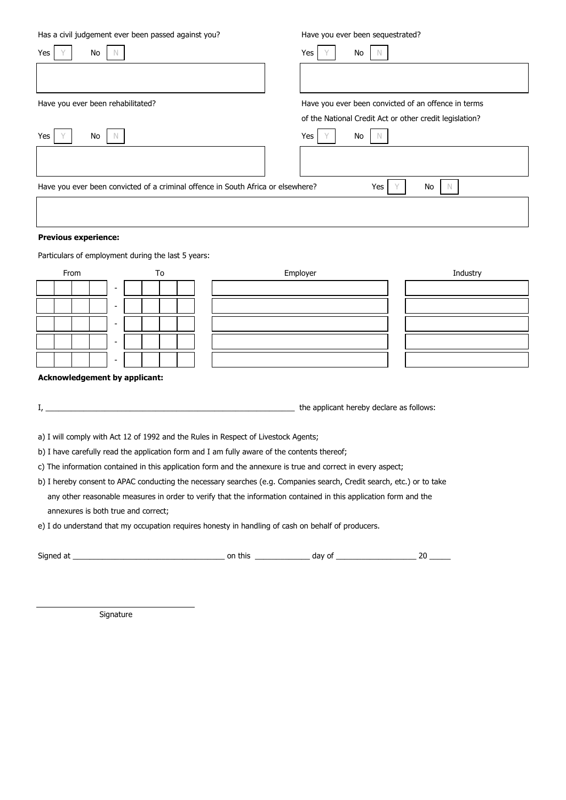Has a civil judgement ever been passed against you? Have you ever been sequestrated?

Yes Y No N Yes Y No N Have you ever been rehabilitated? Have you ever been convicted of an offence in terms of the National Credit Act or other credit legislation? Yes Y No N Yes Y No N Have you ever been convicted of a criminal offence in South Africa or elsewhere? Yes Y No N

#### **Previous experience:**

Particulars of employment during the last 5 years:

| From                     | To | Employer | Industry |
|--------------------------|----|----------|----------|
| $\sim$                   |    |          |          |
| $\overline{\phantom{0}}$ |    |          |          |
| $\sim$                   |    |          |          |
| $\overline{\phantom{0}}$ |    |          |          |
| $\sim$                   |    |          |          |

#### **Acknowledgement by applicant:**

| the applicant hereby declare as follows:<br> |
|----------------------------------------------|
|----------------------------------------------|

a) I will comply with Act 12 of 1992 and the Rules in Respect of Livestock Agents;

b) I have carefully read the application form and I am fully aware of the contents thereof;

c) The information contained in this application form and the annexure is true and correct in every aspect;

b) I hereby consent to APAC conducting the necessary searches (e.g. Companies search, Credit search, etc.) or to take any other reasonable measures in order to verify that the information contained in this application form and the annexures is both true and correct;

e) I do understand that my occupation requires honesty in handling of cash on behalf of producers.

| $\sim$<br>$-1$<br>Siano<br>$\sim$ | this<br>~ | aav<br>. . |  |
|-----------------------------------|-----------|------------|--|
|                                   | . .       |            |  |

Signature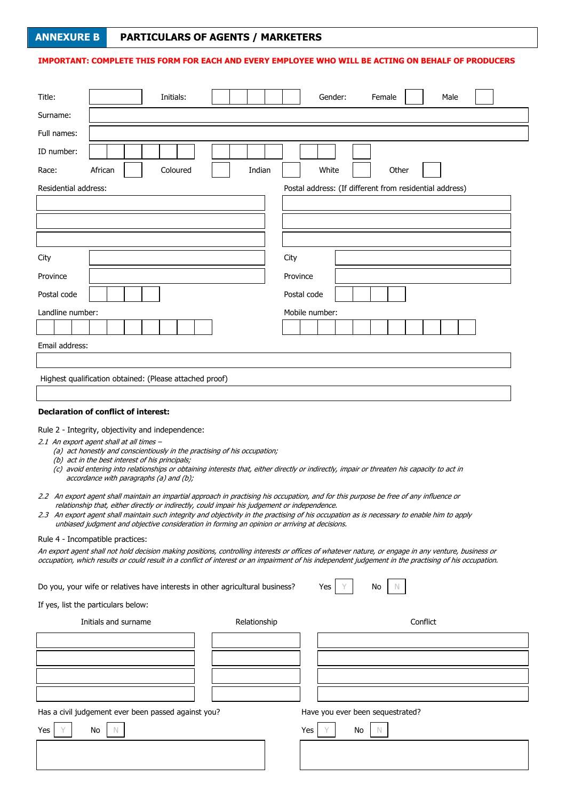# **ANNEXURE B PARTICULARS OF AGENTS / MARKETERS**

## **IMPORTANT: COMPLETE THIS FORM FOR EACH AND EVERY EMPLOYEE WHO WILL BE ACTING ON BEHALF OF PRODUCERS**

| Title:               |                                                                                                                                                                                                                                                                                                                                                                                                                                                                                           | Initials: |              |          | Gender:        |    | Female                                                  |          | Male |  |
|----------------------|-------------------------------------------------------------------------------------------------------------------------------------------------------------------------------------------------------------------------------------------------------------------------------------------------------------------------------------------------------------------------------------------------------------------------------------------------------------------------------------------|-----------|--------------|----------|----------------|----|---------------------------------------------------------|----------|------|--|
| Surname:             |                                                                                                                                                                                                                                                                                                                                                                                                                                                                                           |           |              |          |                |    |                                                         |          |      |  |
| Full names:          |                                                                                                                                                                                                                                                                                                                                                                                                                                                                                           |           |              |          |                |    |                                                         |          |      |  |
| ID number:           |                                                                                                                                                                                                                                                                                                                                                                                                                                                                                           |           |              |          |                |    |                                                         |          |      |  |
| Race:                | African                                                                                                                                                                                                                                                                                                                                                                                                                                                                                   | Coloured  | Indian       |          | White          |    | Other                                                   |          |      |  |
| Residential address: |                                                                                                                                                                                                                                                                                                                                                                                                                                                                                           |           |              |          |                |    | Postal address: (If different from residential address) |          |      |  |
|                      |                                                                                                                                                                                                                                                                                                                                                                                                                                                                                           |           |              |          |                |    |                                                         |          |      |  |
|                      |                                                                                                                                                                                                                                                                                                                                                                                                                                                                                           |           |              |          |                |    |                                                         |          |      |  |
|                      |                                                                                                                                                                                                                                                                                                                                                                                                                                                                                           |           |              |          |                |    |                                                         |          |      |  |
| City                 |                                                                                                                                                                                                                                                                                                                                                                                                                                                                                           |           |              | City     |                |    |                                                         |          |      |  |
| Province             |                                                                                                                                                                                                                                                                                                                                                                                                                                                                                           |           |              | Province |                |    |                                                         |          |      |  |
| Postal code          |                                                                                                                                                                                                                                                                                                                                                                                                                                                                                           |           |              |          | Postal code    |    |                                                         |          |      |  |
| Landline number:     |                                                                                                                                                                                                                                                                                                                                                                                                                                                                                           |           |              |          | Mobile number: |    |                                                         |          |      |  |
|                      |                                                                                                                                                                                                                                                                                                                                                                                                                                                                                           |           |              |          |                |    |                                                         |          |      |  |
| Email address:       |                                                                                                                                                                                                                                                                                                                                                                                                                                                                                           |           |              |          |                |    |                                                         |          |      |  |
|                      |                                                                                                                                                                                                                                                                                                                                                                                                                                                                                           |           |              |          |                |    |                                                         |          |      |  |
|                      | Highest qualification obtained: (Please attached proof)                                                                                                                                                                                                                                                                                                                                                                                                                                   |           |              |          |                |    |                                                         |          |      |  |
|                      | <b>Declaration of conflict of interest:</b>                                                                                                                                                                                                                                                                                                                                                                                                                                               |           |              |          |                |    |                                                         |          |      |  |
|                      | Rule 2 - Integrity, objectivity and independence:<br>2.1 An export agent shall at all times -<br>(a) act honestly and conscientiously in the practising of his occupation;<br>(b) act in the best interest of his principals;<br>(c) avoid entering into relationships or obtaining interests that, either directly or indirectly, impair or threaten his capacity to act in<br>accordance with paragraphs (a) and (b);                                                                   |           |              |          |                |    |                                                         |          |      |  |
|                      | 2.2 An export agent shall maintain an impartial approach in practising his occupation, and for this purpose be free of any influence or<br>relationship that, either directly or indirectly, could impair his judgement or independence.<br>2.3 An export agent shall maintain such integrity and objectivity in the practising of his occupation as is necessary to enable him to apply<br>unbiased judgment and objective consideration in forming an opinion or arriving at decisions. |           |              |          |                |    |                                                         |          |      |  |
|                      | Rule 4 - Incompatible practices:<br>An export agent shall not hold decision making positions, controlling interests or offices of whatever nature, or engage in any venture, business or                                                                                                                                                                                                                                                                                                  |           |              |          |                |    |                                                         |          |      |  |
|                      | occupation, which results or could result in a conflict of interest or an impairment of his independent judgement in the practising of his occupation.                                                                                                                                                                                                                                                                                                                                    |           |              |          |                |    |                                                         |          |      |  |
|                      | Do you, your wife or relatives have interests in other agricultural business?                                                                                                                                                                                                                                                                                                                                                                                                             |           |              |          | Yes            |    | No                                                      |          |      |  |
|                      | If yes, list the particulars below:                                                                                                                                                                                                                                                                                                                                                                                                                                                       |           |              |          |                |    |                                                         |          |      |  |
|                      | Initials and surname                                                                                                                                                                                                                                                                                                                                                                                                                                                                      |           | Relationship |          |                |    |                                                         | Conflict |      |  |
|                      |                                                                                                                                                                                                                                                                                                                                                                                                                                                                                           |           |              |          |                |    |                                                         |          |      |  |
|                      |                                                                                                                                                                                                                                                                                                                                                                                                                                                                                           |           |              |          |                |    |                                                         |          |      |  |
|                      |                                                                                                                                                                                                                                                                                                                                                                                                                                                                                           |           |              |          |                |    |                                                         |          |      |  |
|                      |                                                                                                                                                                                                                                                                                                                                                                                                                                                                                           |           |              |          |                |    |                                                         |          |      |  |
|                      | Has a civil judgement ever been passed against you?                                                                                                                                                                                                                                                                                                                                                                                                                                       |           |              |          |                |    | Have you ever been sequestrated?                        |          |      |  |
| Yes                  | No<br>N.                                                                                                                                                                                                                                                                                                                                                                                                                                                                                  |           |              |          | Yes            | No | N.                                                      |          |      |  |
|                      |                                                                                                                                                                                                                                                                                                                                                                                                                                                                                           |           |              |          |                |    |                                                         |          |      |  |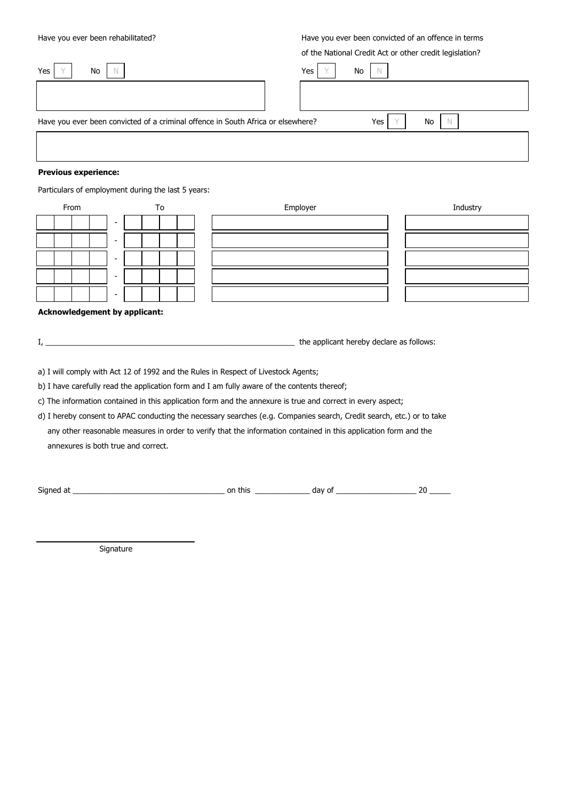Have you ever been rehabilitated? Have you ever been convicted of an offence in terms

of the National Credit Act or other credit legislation?

| Yes<br>No                                                                        | Yes | No |     |    |  |
|----------------------------------------------------------------------------------|-----|----|-----|----|--|
|                                                                                  |     |    |     |    |  |
| Have you ever been convicted of a criminal offence in South Africa or elsewhere? |     |    | Yes | No |  |
|                                                                                  |     |    |     |    |  |
| <b>Dravious ovnorionsou</b>                                                      |     |    |     |    |  |

#### **Previous experience:**

Particulars of employment during the last 5 years:

| From   | To | Employer | Industry |
|--------|----|----------|----------|
| $\sim$ |    |          |          |
| $\sim$ |    |          |          |
| $\sim$ |    |          |          |
| $\sim$ |    |          |          |
| $\sim$ |    |          |          |

#### **Acknowledgement by applicant:**

I, \_\_\_\_\_\_\_\_\_\_\_\_\_\_\_\_\_\_\_\_\_\_\_\_\_\_\_\_\_\_\_\_\_\_\_\_\_\_\_\_\_\_\_\_\_\_\_\_\_\_\_\_\_\_\_\_\_\_\_ the applicant hereby declare as follows:

a) I will comply with Act 12 of 1992 and the Rules in Respect of Livestock Agents;

b) I have carefully read the application form and I am fully aware of the contents thereof;

c) The information contained in this application form and the annexure is true and correct in every aspect;

d) I hereby consent to APAC conducting the necessary searches (e.g. Companies search, Credit search, etc.) or to take any other reasonable measures in order to verify that the information contained in this application form and the annexures is both true and correct.

Signed at \_\_\_\_\_\_\_\_\_\_\_\_\_\_\_\_\_\_\_\_\_\_\_\_\_\_\_\_\_\_\_\_\_\_\_\_ on this \_\_\_\_\_\_\_\_\_\_\_\_\_ day of \_\_\_\_\_\_\_\_\_\_\_\_\_\_\_\_\_\_\_ 20 \_\_\_\_\_

Signature